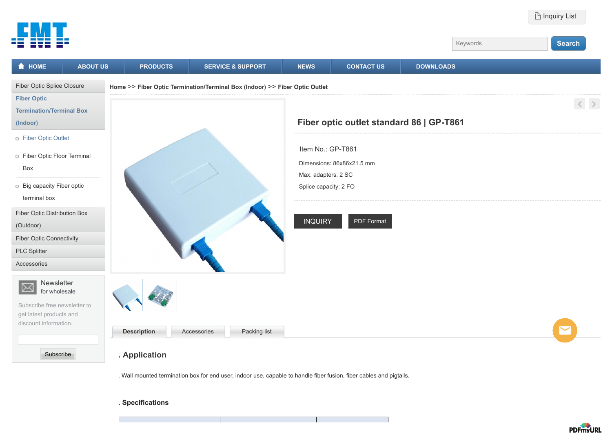

**. Specifications**